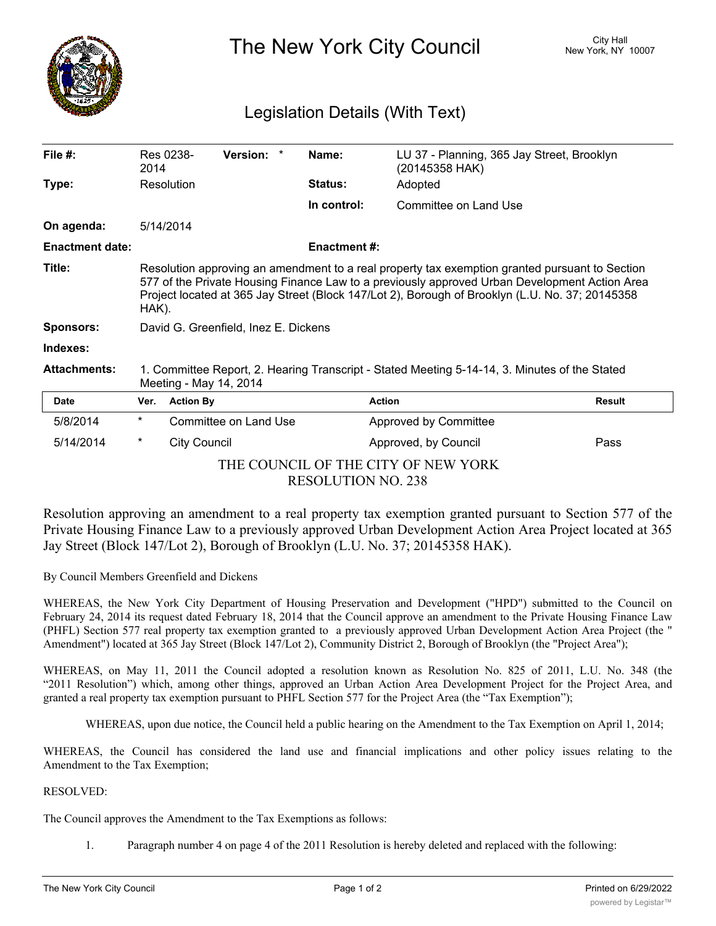

The New York City Council New York, NY 10007

## Legislation Details (With Text)

| File #:                                                          | 2014                                                                                                                                                                                                                                                                                                        | Res 0238-             | Version: * |  | Name:               | LU 37 - Planning, 365 Jay Street, Brooklyn<br>(20145358 HAK) |               |
|------------------------------------------------------------------|-------------------------------------------------------------------------------------------------------------------------------------------------------------------------------------------------------------------------------------------------------------------------------------------------------------|-----------------------|------------|--|---------------------|--------------------------------------------------------------|---------------|
| Type:                                                            |                                                                                                                                                                                                                                                                                                             | Resolution            |            |  | <b>Status:</b>      | Adopted                                                      |               |
|                                                                  |                                                                                                                                                                                                                                                                                                             |                       |            |  | In control:         | Committee on Land Use                                        |               |
| On agenda:                                                       | 5/14/2014                                                                                                                                                                                                                                                                                                   |                       |            |  |                     |                                                              |               |
| <b>Enactment date:</b>                                           |                                                                                                                                                                                                                                                                                                             |                       |            |  | <b>Enactment #:</b> |                                                              |               |
| Title:                                                           | Resolution approving an amendment to a real property tax exemption granted pursuant to Section<br>577 of the Private Housing Finance Law to a previously approved Urban Development Action Area<br>Project located at 365 Jay Street (Block 147/Lot 2), Borough of Brooklyn (L.U. No. 37; 20145358<br>HAK). |                       |            |  |                     |                                                              |               |
| <b>Sponsors:</b>                                                 | David G. Greenfield, Inez E. Dickens                                                                                                                                                                                                                                                                        |                       |            |  |                     |                                                              |               |
| Indexes:                                                         |                                                                                                                                                                                                                                                                                                             |                       |            |  |                     |                                                              |               |
| <b>Attachments:</b>                                              | 1. Committee Report, 2. Hearing Transcript - Stated Meeting 5-14-14, 3. Minutes of the Stated<br>Meeting - May 14, 2014                                                                                                                                                                                     |                       |            |  |                     |                                                              |               |
| <b>Date</b>                                                      | Ver.                                                                                                                                                                                                                                                                                                        | <b>Action By</b>      |            |  |                     | <b>Action</b>                                                | <b>Result</b> |
| 5/8/2014                                                         | $^\star$                                                                                                                                                                                                                                                                                                    | Committee on Land Use |            |  |                     | Approved by Committee                                        |               |
| 5/14/2014                                                        | *                                                                                                                                                                                                                                                                                                           | <b>City Council</b>   |            |  |                     | Approved, by Council                                         | Pass          |
| THE COUNCIL OF THE CITY OF NEW YORK<br><b>RESOLUTION NO. 238</b> |                                                                                                                                                                                                                                                                                                             |                       |            |  |                     |                                                              |               |

Resolution approving an amendment to a real property tax exemption granted pursuant to Section 577 of the Private Housing Finance Law to a previously approved Urban Development Action Area Project located at 365 Jay Street (Block 147/Lot 2), Borough of Brooklyn (L.U. No. 37; 20145358 HAK).

By Council Members Greenfield and Dickens

WHEREAS, the New York City Department of Housing Preservation and Development ("HPD") submitted to the Council on February 24, 2014 its request dated February 18, 2014 that the Council approve an amendment to the Private Housing Finance Law (PHFL) Section 577 real property tax exemption granted to a previously approved Urban Development Action Area Project (the " Amendment") located at 365 Jay Street (Block 147/Lot 2), Community District 2, Borough of Brooklyn (the "Project Area");

WHEREAS, on May 11, 2011 the Council adopted a resolution known as Resolution No. 825 of 2011, L.U. No. 348 (the "2011 Resolution") which, among other things, approved an Urban Action Area Development Project for the Project Area, and granted a real property tax exemption pursuant to PHFL Section 577 for the Project Area (the "Tax Exemption");

WHEREAS, upon due notice, the Council held a public hearing on the Amendment to the Tax Exemption on April 1, 2014;

WHEREAS, the Council has considered the land use and financial implications and other policy issues relating to the Amendment to the Tax Exemption;

RESOLVED:

The Council approves the Amendment to the Tax Exemptions as follows:

1. Paragraph number 4 on page 4 of the 2011 Resolution is hereby deleted and replaced with the following:

 $\mathcal{A}_\text{c}$  , the Exemption shall only apply to the Exemption Area that exists on the date of the date of the date of the date of the date of the date of the date of the date of the date of the date of the date of the d